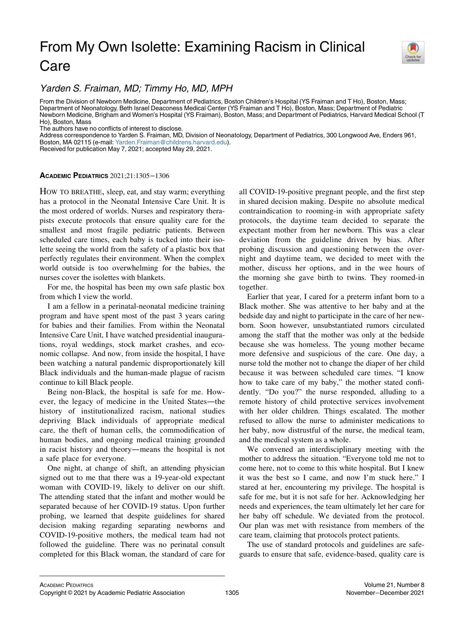## From My Own Isolette: Examining Racism in Clinical Care



Yarden S. Fraiman, MD; Timmy Ho, MD, MPH

From the Division of Newborn Medicine, Department of Pediatrics, Boston Children's Hospital (YS Fraiman and T Ho), Boston, Mass; Department of Neonatology, Beth Israel Deaconess Medical Center (YS Fraiman and T Ho), Boston, Mass; Department of Pediatric Newborn Medicine, Brigham and Women's Hospital (YS Fraiman), Boston, Mass; and Department of Pediatrics, Harvard Medical School (T Ho), Boston, Mass

The authors have no conflicts of interest to disclose.

Address correspondence to Yarden S. Fraiman, MD, Division of Neonatology, Department of Pediatrics, 300 Longwood Ave, Enders 961, Boston, MA 02115 (e-mail: [Yarden.Fraiman@childrens.harvard.edu](mailto:Yarden.Fraiman@childrens.harvard.edu)).

Received for publication May 7, 2021; accepted May 29, 2021.

## ACADEMIC PEDIATRICS 2021;21:1305−1306

HOW TO BREATHE, sleep, eat, and stay warm; everything has a protocol in the Neonatal Intensive Care Unit. It is the most ordered of worlds. Nurses and respiratory therapists execute protocols that ensure quality care for the smallest and most fragile pediatric patients. Between scheduled care times, each baby is tucked into their isolette seeing the world from the safety of a plastic box that perfectly regulates their environment. When the complex world outside is too overwhelming for the babies, the nurses cover the isolettes with blankets.

For me, the hospital has been my own safe plastic box from which I view the world.

I am a fellow in a perinatal-neonatal medicine training program and have spent most of the past 3 years caring for babies and their families. From within the Neonatal Intensive Care Unit, I have watched presidential inaugurations, royal weddings, stock market crashes, and economic collapse. And now, from inside the hospital, I have been watching a natural pandemic disproportionately kill Black individuals and the human-made plague of racism continue to kill Black people.

Being non-Black, the hospital is safe for me. However, the legacy of medicine in the United States—the history of institutionalized racism, national studies depriving Black individuals of appropriate medical care, the theft of human cells, the commodification of human bodies, and ongoing medical training grounded in racist history and theory—means the hospital is not a safe place for everyone.

One night, at change of shift, an attending physician signed out to me that there was a 19-year-old expectant woman with COVID-19, likely to deliver on our shift. The attending stated that the infant and mother would be separated because of her COVID-19 status. Upon further probing, we learned that despite guidelines for shared decision making regarding separating newborns and COVID-19-positive mothers, the medical team had not followed the guideline. There was no perinatal consult completed for this Black woman, the standard of care for

all COVID-19-positive pregnant people, and the first step in shared decision making. Despite no absolute medical contraindication to rooming-in with appropriate safety protocols, the daytime team decided to separate the expectant mother from her newborn. This was a clear deviation from the guideline driven by bias. After probing discussion and questioning between the overnight and daytime team, we decided to meet with the mother, discuss her options, and in the wee hours of the morning she gave birth to twins. They roomed-in together.

Earlier that year, I cared for a preterm infant born to a Black mother. She was attentive to her baby and at the bedside day and night to participate in the care of her newborn. Soon however, unsubstantiated rumors circulated among the staff that the mother was only at the bedside because she was homeless. The young mother became more defensive and suspicious of the care. One day, a nurse told the mother not to change the diaper of her child because it was between scheduled care times. "I know how to take care of my baby," the mother stated confidently. "Do you?" the nurse responded, alluding to a remote history of child protective services involvement with her older children. Things escalated. The mother refused to allow the nurse to administer medications to her baby, now distrustful of the nurse, the medical team, and the medical system as a whole.

We convened an interdisciplinary meeting with the mother to address the situation. "Everyone told me not to come here, not to come to this white hospital. But I knew it was the best so I came, and now I'm stuck here." I stared at her, encountering my privilege. The hospital is safe for me, but it is not safe for her. Acknowledging her needs and experiences, the team ultimately let her care for her baby off schedule. We deviated from the protocol. Our plan was met with resistance from members of the care team, claiming that protocols protect patients.

The use of standard protocols and guidelines are safeguards to ensure that safe, evidence-based, quality care is